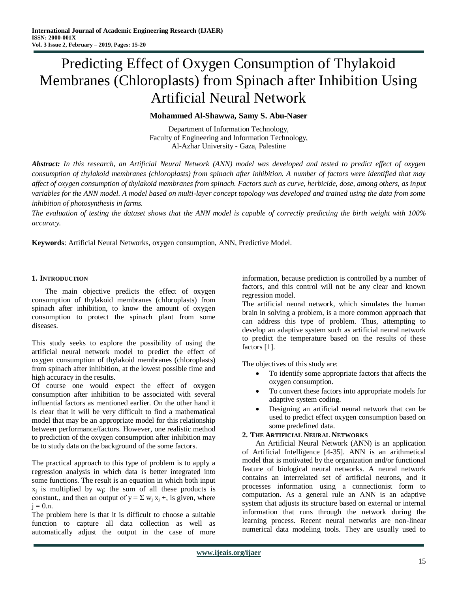# Predicting Effect of Oxygen Consumption of Thylakoid Membranes (Chloroplasts) from Spinach after Inhibition Using Artificial Neural Network

# **Mohammed Al-Shawwa, Samy S. Abu-Naser**

Department of Information Technology, Faculty of Engineering and Information Technology, Al-Azhar University - Gaza, Palestine

*Abstract: In this research, an Artificial Neural Network (ANN) model was developed and tested to predict effect of oxygen consumption of thylakoid membranes (chloroplasts) from spinach after inhibition. A number of factors were identified that may affect of oxygen consumption of thylakoid membranes from spinach. Factors such as curve, herbicide, dose, among others, as input variables for the ANN model. A model based on multi-layer concept topology was developed and trained using the data from some inhibition of photosynthesis in farms.*

*The evaluation of testing the dataset shows that the ANN model is capable of correctly predicting the birth weight with 100% accuracy.*

**Keywords**: Artificial Neural Networks, oxygen consumption, ANN, Predictive Model.

## **1. INTRODUCTION**

The main objective predicts the effect of oxygen consumption of thylakoid membranes (chloroplasts) from spinach after inhibition, to know the amount of oxygen consumption to protect the spinach plant from some diseases.

This study seeks to explore the possibility of using the artificial neural network model to predict the effect of oxygen consumption of thylakoid membranes (chloroplasts) from spinach after inhibition, at the lowest possible time and high accuracy in the results.

Of course one would expect the effect of oxygen consumption after inhibition to be associated with several influential factors as mentioned earlier. On the other hand it is clear that it will be very difficult to find a mathematical model that may be an appropriate model for this relationship between performance/factors. However, one realistic method to prediction of the oxygen consumption after inhibition may be to study data on the background of the some factors.

The practical approach to this type of problem is to apply a regression analysis in which data is better integrated into some functions. The result is an equation in which both input  $x_j$  is multiplied by  $w_j$ ; the sum of all these products is constant,, and then an output of  $y = \sum w_i x_i +$ , is given, where  $j = 0.n$ .

The problem here is that it is difficult to choose a suitable function to capture all data collection as well as automatically adjust the output in the case of more

information, because prediction is controlled by a number of factors, and this control will not be any clear and known regression model.

The artificial neural network, which simulates the human brain in solving a problem, is a more common approach that can address this type of problem. Thus, attempting to develop an adaptive system such as artificial neural network to predict the temperature based on the results of these factors [1].

The objectives of this study are:

- To identify some appropriate factors that affects the oxygen consumption.
- To convert these factors into appropriate models for adaptive system coding.
- Designing an artificial neural network that can be used to predict effect oxygen consumption based on some predefined data.

#### **2. THE ARTIFICIAL NEURAL NETWORKS**

An Artificial Neural Network (ANN) is an application of Artificial Intelligence [4-35]. ANN is an arithmetical model that is motivated by the organization and/or functional feature of biological neural networks. A neural network contains an interrelated set of artificial neurons, and it processes information using a connectionist form to computation. As a general rule an ANN is an adaptive system that adjusts its structure based on external or internal information that runs through the network during the learning process. Recent neural networks are non-linear numerical data modeling tools. They are usually used to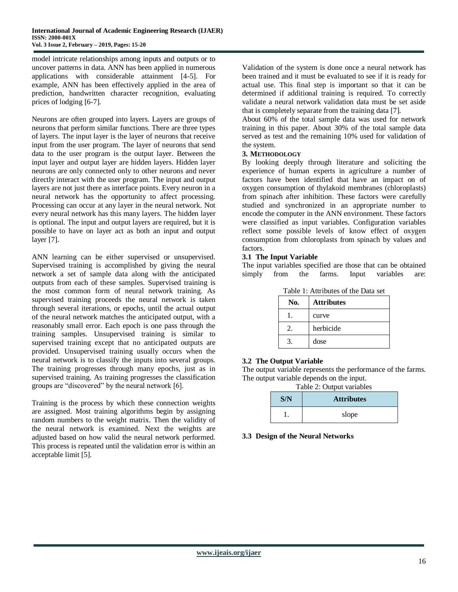model intricate relationships among inputs and outputs or to uncover patterns in data. ANN has been applied in numerous applications with considerable attainment [4-5]. For example, ANN has been effectively applied in the area of prediction, handwritten character recognition, evaluating prices of lodging [6-7].

Neurons are often grouped into layers. Layers are groups of neurons that perform similar functions. There are three types of layers. The input layer is the layer of neurons that receive input from the user program. The layer of neurons that send data to the user program is the output layer. Between the input layer and output layer are hidden layers. Hidden layer neurons are only connected only to other neurons and never directly interact with the user program. The input and output layers are not just there as interface points. Every neuron in a neural network has the opportunity to affect processing. Processing can occur at any layer in the neural network. Not every neural network has this many layers. The hidden layer is optional. The input and output layers are required, but it is possible to have on layer act as both an input and output layer [7].

ANN learning can be either supervised or unsupervised. Supervised training is accomplished by giving the neural network a set of sample data along with the anticipated outputs from each of these samples. Supervised training is the most common form of neural network training. As supervised training proceeds the neural network is taken through several iterations, or epochs, until the actual output of the neural network matches the anticipated output, with a reasonably small error. Each epoch is one pass through the training samples. Unsupervised training is similar to supervised training except that no anticipated outputs are provided. Unsupervised training usually occurs when the neural network is to classify the inputs into several groups. The training progresses through many epochs, just as in supervised training. As training progresses the classification groups are "discovered" by the neural network [6].

Training is the process by which these connection weights are assigned. Most training algorithms begin by assigning random numbers to the weight matrix. Then the validity of the neural network is examined. Next the weights are adjusted based on how valid the neural network performed. This process is repeated until the validation error is within an acceptable limit [5].

Validation of the system is done once a neural network has been trained and it must be evaluated to see if it is ready for actual use. This final step is important so that it can be determined if additional training is required. To correctly validate a neural network validation data must be set aside that is completely separate from the training data [7].

About 60% of the total sample data was used for network training in this paper. About 30% of the total sample data served as test and the remaining 10% used for validation of the system.

#### **3. METHODOLOGY**

By looking deeply through literature and soliciting the experience of human experts in agriculture a number of factors have been identified that have an impact on of oxygen consumption of thylakoid membranes (chloroplasts) from spinach after inhibition. These factors were carefully studied and synchronized in an appropriate number to encode the computer in the ANN environment. These factors were classified as input variables. Configuration variables reflect some possible levels of know effect of oxygen consumption from chloroplasts from spinach by values and factors.

#### **3.1 The Input Variable**

The input variables specified are those that can be obtained simply from the farms. Input variables are:

Table 1: Attributes of the Data set

| No. | <b>Attributes</b> |
|-----|-------------------|
|     | curve             |
|     | herbicide         |
|     | dose              |

#### **3.2 The Output Variable**

The output variable represents the performance of the farms. The output variable depends on the input.

Table 2: Output variables

| S/N | <b>Attributes</b> |
|-----|-------------------|
|     | slope             |

**3.3 Design of the Neural Networks**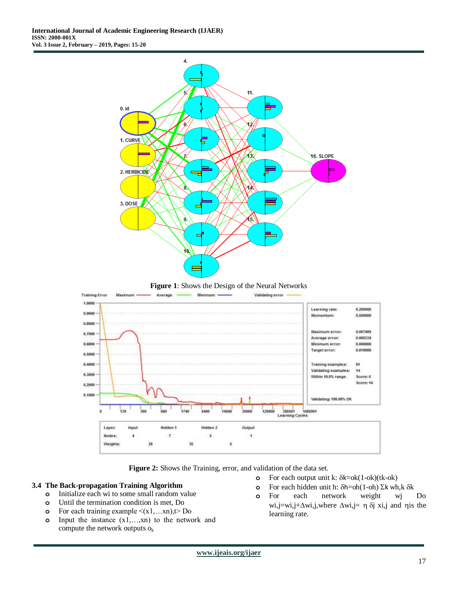

**Figure 1**: Shows the Design of the Neural Networks



Figure 2: Shows the Training, error, and validation of the data set.

#### **3.4 The Back-propagation Training Algorithm**

- **o** Initialize each wi to some small random value
- **o** Until the termination condition is met, Do
- **o** For each training example  $\leq (x_1, \ldots, x_n)$ ,  $t > Do$
- **o** Input the instance (x1,…,xn) to the network and compute the network outputs o<sup>k</sup>
- **o** For each output unit k:  $\delta k = ok(1 ok)(tk ok)$
- **o** For each hidden unit h:  $\delta h = oh(1-oh) \Sigma k wh, k \delta k$
- **o** For each network weight wj Do wi,j=wi,j+ $\Delta$ wi,j,where  $\Delta$ wi,j=  $\eta$   $\delta$ j xi,j and  $\eta$ is the learning rate.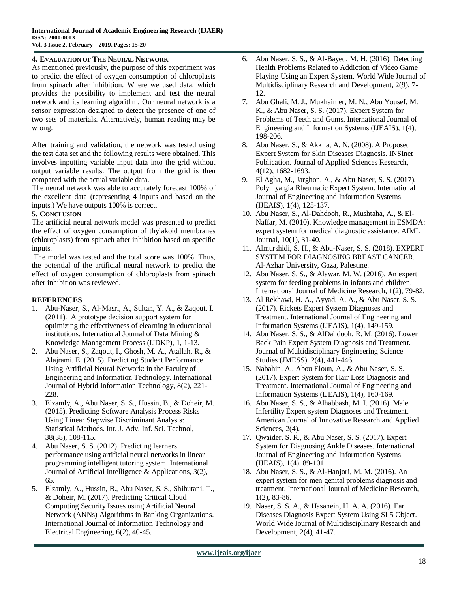## **4. EVALUATION OF THE NEURAL NETWORK**

As mentioned previously, the purpose of this experiment was to predict the effect of oxygen consumption of chloroplasts from spinach after inhibition. Where we used data, which provides the possibility to implement and test the neural network and its learning algorithm. Our neural network is a sensor expression designed to detect the presence of one of two sets of materials. Alternatively, human reading may be wrong.

After training and validation, the network was tested using the test data set and the following results were obtained. This involves inputting variable input data into the grid without output variable results. The output from the grid is then compared with the actual variable data.

The neural network was able to accurately forecast 100% of the excellent data (representing 4 inputs and based on the inputs.) We have outputs 100% is correct.

#### **5. CONCLUSION**

The artificial neural network model was presented to predict the effect of oxygen consumption of thylakoid membranes (chloroplasts) from spinach after inhibition based on specific inputs.

The model was tested and the total score was 100%. Thus, the potential of the artificial neural network to predict the effect of oxygen consumption of chloroplasts from spinach after inhibition was reviewed.

#### **REFERENCES**

- 1. Abu-Naser, S., Al-Masri, A., Sultan, Y. A., & Zaqout, I. (2011). A prototype decision support system for optimizing the effectiveness of elearning in educational institutions. International Journal of Data Mining & Knowledge Management Process (IJDKP), 1, 1-13.
- 2. Abu Naser, S., Zaqout, I., Ghosh, M. A., Atallah, R., & Alajrami, E. (2015). Predicting Student Performance Using Artificial Neural Network: in the Faculty of Engineering and Information Technology. International Journal of Hybrid Information Technology, 8(2), 221- 228.
- 3. Elzamly, A., Abu Naser, S. S., Hussin, B., & Doheir, M. (2015). Predicting Software Analysis Process Risks Using Linear Stepwise Discriminant Analysis: Statistical Methods. Int. J. Adv. Inf. Sci. Technol, 38(38), 108-115.
- 4. Abu Naser, S. S. (2012). Predicting learners performance using artificial neural networks in linear programming intelligent tutoring system. International Journal of Artificial Intelligence & Applications, 3(2), 65.
- 5. Elzamly, A., Hussin, B., Abu Naser, S. S., Shibutani, T., & Doheir, M. (2017). Predicting Critical Cloud Computing Security Issues using Artificial Neural Network (ANNs) Algorithms in Banking Organizations. International Journal of Information Technology and Electrical Engineering, 6(2), 40-45.
- 6. Abu Naser, S. S., & Al-Bayed, M. H. (2016). Detecting Health Problems Related to Addiction of Video Game Playing Using an Expert System. World Wide Journal of Multidisciplinary Research and Development, 2(9), 7- 12.
- 7. Abu Ghali, M. J., Mukhaimer, M. N., Abu Yousef, M. K., & Abu Naser, S. S. (2017). Expert System for Problems of Teeth and Gums. International Journal of Engineering and Information Systems (IJEAIS), 1(4), 198-206.
- 8. Abu Naser, S., & Akkila, A. N. (2008). A Proposed Expert System for Skin Diseases Diagnosis. INSInet Publication. Journal of Applied Sciences Research, 4(12), 1682-1693.
- 9. El Agha, M., Jarghon, A., & Abu Naser, S. S. (2017). Polymyalgia Rheumatic Expert System. International Journal of Engineering and Information Systems (IJEAIS), 1(4), 125-137.
- 10. Abu Naser, S., Al-Dahdooh, R., Mushtaha, A., & El-Naffar, M. (2010). Knowledge management in ESMDA: expert system for medical diagnostic assistance. AIML Journal, 10(1), 31-40.
- 11. Almurshidi, S. H., & Abu-Naser, S. S. (2018). EXPERT SYSTEM FOR DIAGNOSING BREAST CANCER. Al-Azhar University, Gaza, Palestine.
- 12. Abu Naser, S. S., & Alawar, M. W. (2016). An expert system for feeding problems in infants and children. International Journal of Medicine Research, 1(2), 79-82.
- 13. Al Rekhawi, H. A., Ayyad, A. A., & Abu Naser, S. S. (2017). Rickets Expert System Diagnoses and Treatment. International Journal of Engineering and Information Systems (IJEAIS), 1(4), 149-159.
- 14. Abu Naser, S. S., & AlDahdooh, R. M. (2016). Lower Back Pain Expert System Diagnosis and Treatment. Journal of Multidisciplinary Engineering Science Studies (JMESS), 2(4), 441-446.
- 15. Nabahin, A., Abou Eloun, A., & Abu Naser, S. S. (2017). Expert System for Hair Loss Diagnosis and Treatment. International Journal of Engineering and Information Systems (IJEAIS), 1(4), 160-169.
- 16. Abu Naser, S. S., & Alhabbash, M. I. (2016). Male Infertility Expert system Diagnoses and Treatment. American Journal of Innovative Research and Applied Sciences, 2(4).
- 17. Qwaider, S. R., & Abu Naser, S. S. (2017). Expert System for Diagnosing Ankle Diseases. International Journal of Engineering and Information Systems (IJEAIS), 1(4), 89-101.
- 18. Abu Naser, S. S., & Al-Hanjori, M. M. (2016). An expert system for men genital problems diagnosis and treatment. International Journal of Medicine Research, 1(2), 83-86.
- 19. Naser, S. S. A., & Hasanein, H. A. A. (2016). Ear Diseases Diagnosis Expert System Using SL5 Object. World Wide Journal of Multidisciplinary Research and Development, 2(4), 41-47.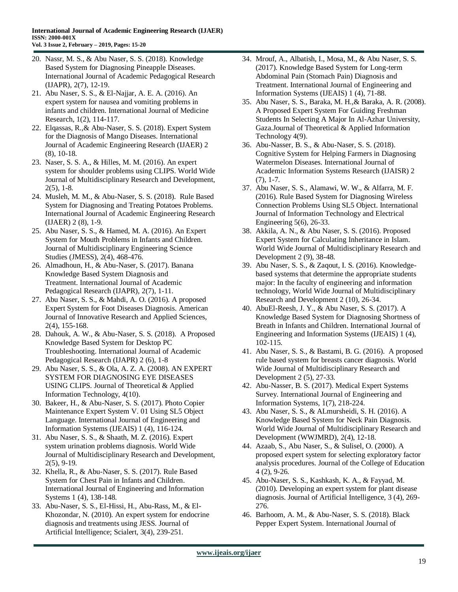- 20. Nassr, M. S., & Abu Naser, S. S. (2018). Knowledge Based System for Diagnosing Pineapple Diseases. International Journal of Academic Pedagogical Research (IJAPR), 2(7), 12-19.
- 21. Abu Naser, S. S., & El-Najjar, A. E. A. (2016). An expert system for nausea and vomiting problems in infants and children. International Journal of Medicine Research, 1(2), 114-117.
- 22. Elqassas, R.,& Abu-Naser, S. S. (2018). Expert System for the Diagnosis of Mango Diseases. International Journal of Academic Engineering Research (IJAER) 2 (8), 10-18.
- 23. Naser, S. S. A., & Hilles, M. M. (2016). An expert system for shoulder problems using CLIPS. World Wide Journal of Multidisciplinary Research and Development, 2(5), 1-8.
- 24. Musleh, M. M., & Abu-Naser, S. S. (2018). Rule Based System for Diagnosing and Treating Potatoes Problems. International Journal of Academic Engineering Research (IJAER) 2 (8), 1-9.
- 25. Abu Naser, S. S., & Hamed, M. A. (2016). An Expert System for Mouth Problems in Infants and Children. Journal of Multidisciplinary Engineering Science Studies (JMESS), 2(4), 468-476.
- 26. Almadhoun, H., & Abu-Naser, S. (2017). Banana Knowledge Based System Diagnosis and Treatment. International Journal of Academic Pedagogical Research (IJAPR), 2(7), 1-11.
- 27. Abu Naser, S. S., & Mahdi, A. O. (2016). A proposed Expert System for Foot Diseases Diagnosis. American Journal of Innovative Research and Applied Sciences, 2(4), 155-168.
- 28. Dahouk, A. W., & Abu-Naser, S. S. (2018). [A Proposed](javascript:void(0))  [Knowledge Based System for Desktop PC](javascript:void(0))  [Troubleshooting.](javascript:void(0)) International Journal of Academic Pedagogical Research (IJAPR) 2 (6), 1-8
- 29. Abu Naser, S. S., & Ola, A. Z. A. (2008). AN EXPERT SYSTEM FOR DIAGNOSING EYE DISEASES USING CLIPS. Journal of Theoretical & Applied Information Technology, 4(10).
- 30. Bakeer, H., & Abu-Naser, S. S. (2017). Photo Copier Maintenance Expert System V. 01 Using SL5 Object Language. International Journal of Engineering and Information Systems (IJEAIS) 1 (4), 116-124.
- 31. Abu Naser, S. S., & Shaath, M. Z. (2016). Expert system urination problems diagnosis. World Wide Journal of Multidisciplinary Research and Development, 2(5), 9-19.
- 32. Khella, R., & Abu-Naser, S. S. (2017). Rule Based System for Chest Pain in Infants and Children. International Journal of Engineering and Information Systems 1 (4), 138-148.
- 33. Abu-Naser, S. S., El-Hissi, H., Abu-Rass, M., & El-Khozondar, N. (2010). An expert system for endocrine diagnosis and treatments using JESS. Journal of Artificial Intelligence; Scialert, 3(4), 239-251.
- 34. Mrouf, A., Albatish, I., Mosa, M., & Abu Naser, S. S. (2017). Knowledge Based System for Long-term Abdominal Pain (Stomach Pain) Diagnosis and Treatment. International Journal of Engineering and Information Systems (IJEAIS) 1 (4), 71-88.
- 35. Abu Naser, S. S., Baraka, M. H.,& Baraka, A. R. (2008). A Proposed Expert System For Guiding Freshman Students In Selecting A Major In Al-Azhar University, Gaza.Journal of Theoretical & Applied Information Technology 4(9).
- 36. Abu-Nasser, B. S., & Abu-Naser, S. S. (2018). Cognitive System for Helping Farmers in Diagnosing Watermelon Diseases. International Journal of Academic Information Systems Research (IJAISR) 2 (7), 1-7.
- 37. Abu Naser, S. S., Alamawi, W. W., & Alfarra, M. F. (2016). Rule Based System for Diagnosing Wireless Connection Problems Using SL5 Object. International Journal of Information Technology and Electrical Engineering 5(6), 26-33.
- 38. Akkila, A. N., & Abu Naser, S. S. (2016). Proposed Expert System for Calculating Inheritance in Islam. World Wide Journal of Multidisciplinary Research and Development 2 (9), 38-48.
- 39. Abu Naser, S. S., & Zaqout, I. S. (2016). Knowledgebased systems that determine the appropriate students major: In the faculty of engineering and information technology, World Wide Journal of Multidisciplinary Research and Development 2 (10), 26-34.
- 40. AbuEl-Reesh, J. Y., & Abu Naser, S. S. (2017). A Knowledge Based System for Diagnosing Shortness of Breath in Infants and Children. International Journal of Engineering and Information Systems (IJEAIS) 1 (4), 102-115.
- 41. Abu Naser, S. S., & Bastami, B. G. (2016). A proposed rule based system for breasts cancer diagnosis. World Wide Journal of Multidisciplinary Research and Development 2 (5), 27-33.
- 42. Abu-Nasser, B. S. (2017). Medical Expert Systems Survey. International Journal of Engineering and Information Systems, 1(7), 218-224.
- 43. Abu Naser, S. S., & ALmursheidi, S. H. (2016). A Knowledge Based System for Neck Pain Diagnosis. World Wide Journal of Multidisciplinary Research and Development (WWJMRD), 2(4), 12-18.
- 44. Azaab, S., Abu Naser, S., & Sulisel, O. (2000). A proposed expert system for selecting exploratory factor analysis procedures. Journal of the College of Education 4 (2), 9-26.
- 45. Abu-Naser, S. S., Kashkash, K. A., & Fayyad, M. (2010). Developing an expert system for plant disease diagnosis. Journal of Artificial Intelligence, 3 (4), 269- 276.
- 46. Barhoom, A. M., & Abu-Naser, S. S. (2018). Black Pepper Expert System. International Journal of